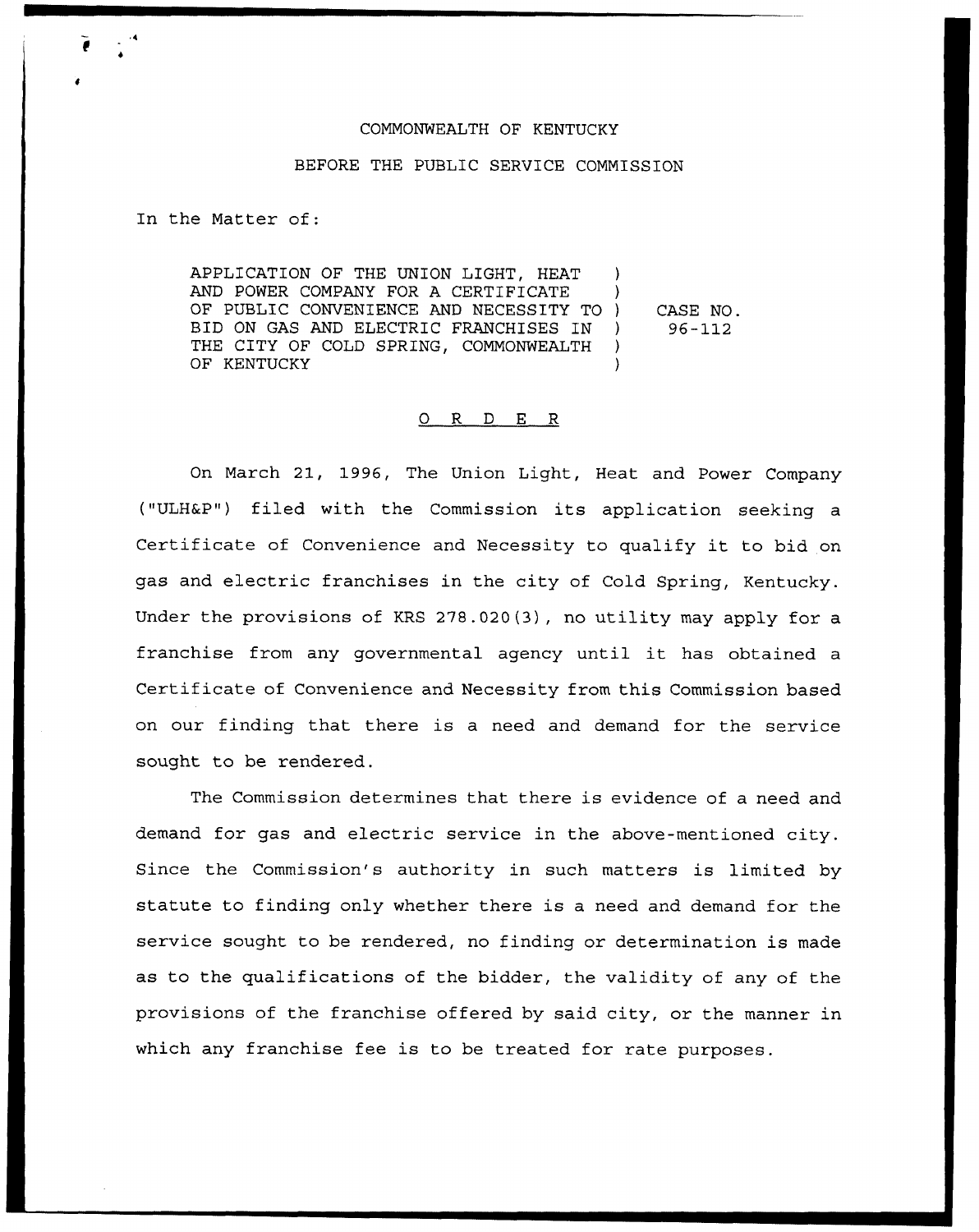## COMMONWEALTH OF KENTUCKY

## BEFORE THE PUBLIC SERVICE COMMISSION

In the Matter of:

APPLICATION OF THE UNION LIGHT, HEAT AND POWER COMPANY FOR A CERTIFICATE OF PUBLIC CONVENIENCE AND NECESSITY TO ) BID ON GAS AND ELECTRIC FRANCHISES IN ) THE CITY OF COLD SPRING, COMMONWEALTH ) OF KENTUCKY CASE NO. 96-112

## 0 R <sup>D</sup> E R

On March 21, 1996, The Union Light, Heat and Power Company ("ULHEP") filed with the Commission its application seeking <sup>a</sup> Certificate of Convenience and Necessity to qualify it to bid on gas and electric franchises in the city of Cold Spring, Kentucky. Under the provisions of KRS 278.020(3), no utility may apply for a franchise from any governmental agency until it has obtained <sup>a</sup> Certificate of Convenience and Necessity from this Commission based on our finding that there is a need and demand for the service sought to be rendered.

The Commission determines that there is evidence of a need and demand for gas and electric service in the above-mentioned city. Since the Commission's authority in such matters is limited by statute to finding only whether there is a need and demand for the service sought to be rendered, no finding or determination is made as to the qualifications of the bidder, the validity of any of the provisions of the franchise offered by said city, or the manner in which any franchise fee is to be treated for rate purposes.